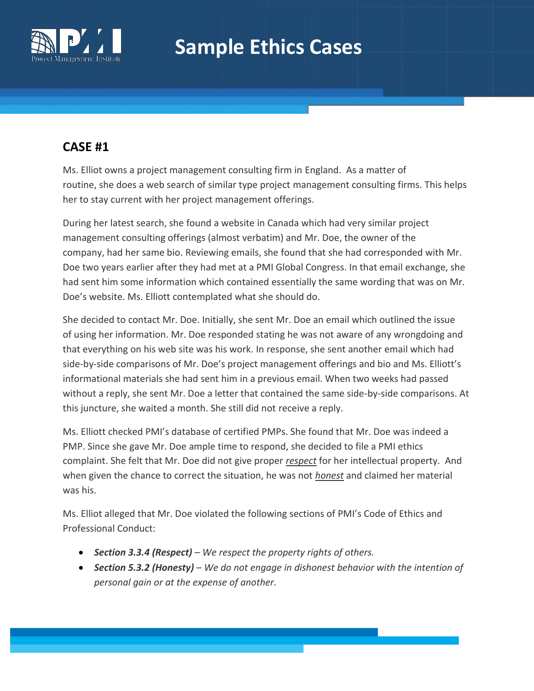

# **Sample Ethics Cases**

### **CASE #1**

Ms. Elliot owns a project management consulting firm in England. As a matter of routine, she does a web search of similar type project management consulting firms. This helps her to stay current with her project management offerings.

During her latest search, she found a website in Canada which had very similar project management consulting offerings (almost verbatim) and Mr. Doe, the owner of the company, had her same bio. Reviewing emails, she found that she had corresponded with Mr. Doe two years earlier after they had met at a PMI Global Congress. In that email exchange, she had sent him some information which contained essentially the same wording that was on Mr. Doe's website. Ms. Elliott contemplated what she should do.

She decided to contact Mr. Doe. Initially, she sent Mr. Doe an email which outlined the issue of using her information. Mr. Doe responded stating he was not aware of any wrongdoing and that everything on his web site was his work. In response, she sent another email which had side-by-side comparisons of Mr. Doe's project management offerings and bio and Ms. Elliott's informational materials she had sent him in a previous email. When two weeks had passed without a reply, she sent Mr. Doe a letter that contained the same side-by-side comparisons. At this juncture, she waited a month. She still did not receive a reply.

Ms. Elliott checked PMI's database of certified PMPs. She found that Mr. Doe was indeed a PMP. Since she gave Mr. Doe ample time to respond, she decided to file a PMI ethics complaint. She felt that Mr. Doe did not give proper *respect* for her intellectual property. And when given the chance to correct the situation, he was not *honest* and claimed her material was his.

Ms. Elliot alleged that Mr. Doe violated the following sections of PMI's Code of Ethics and Professional Conduct:

- *Section 3.3.4 (Respect) – We respect the property rights of others.*
- *Section 5.3.2 (Honesty) – We do not engage in dishonest behavior with the intention of personal gain or at the expense of another.*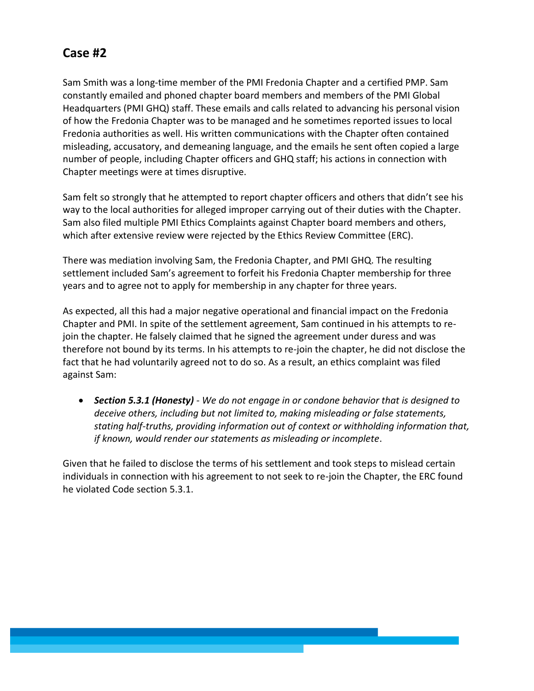# **Case #2**

Sam Smith was a long-time member of the PMI Fredonia Chapter and a certified PMP. Sam constantly emailed and phoned chapter board members and members of the PMI Global Headquarters (PMI GHQ) staff. These emails and calls related to advancing his personal vision of how the Fredonia Chapter was to be managed and he sometimes reported issues to local Fredonia authorities as well. His written communications with the Chapter often contained misleading, accusatory, and demeaning language, and the emails he sent often copied a large number of people, including Chapter officers and GHQ staff; his actions in connection with Chapter meetings were at times disruptive.

Sam felt so strongly that he attempted to report chapter officers and others that didn't see his way to the local authorities for alleged improper carrying out of their duties with the Chapter. Sam also filed multiple PMI Ethics Complaints against Chapter board members and others, which after extensive review were rejected by the Ethics Review Committee (ERC).

There was mediation involving Sam, the Fredonia Chapter, and PMI GHQ. The resulting settlement included Sam's agreement to forfeit his Fredonia Chapter membership for three years and to agree not to apply for membership in any chapter for three years.

As expected, all this had a major negative operational and financial impact on the Fredonia Chapter and PMI. In spite of the settlement agreement, Sam continued in his attempts to rejoin the chapter. He falsely claimed that he signed the agreement under duress and was therefore not bound by its terms. In his attempts to re-join the chapter, he did not disclose the fact that he had voluntarily agreed not to do so. As a result, an ethics complaint was filed against Sam:

 *Section 5.3.1 (Honesty) - We do not engage in or condone behavior that is designed to deceive others, including but not limited to, making misleading or false statements, stating half-truths, providing information out of context or withholding information that, if known, would render our statements as misleading or incomplete*.

Given that he failed to disclose the terms of his settlement and took steps to mislead certain individuals in connection with his agreement to not seek to re-join the Chapter, the ERC found he violated Code section 5.3.1.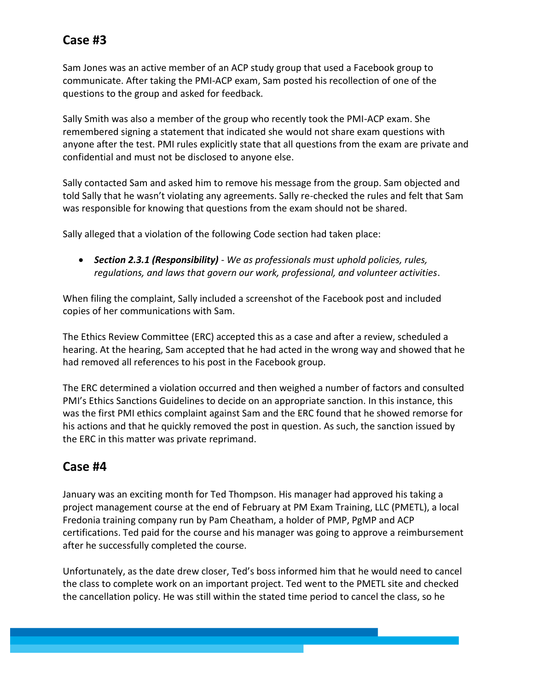# **Case #3**

Sam Jones was an active member of an ACP study group that used a Facebook group to communicate. After taking the PMI-ACP exam, Sam posted his recollection of one of the questions to the group and asked for feedback.

Sally Smith was also a member of the group who recently took the PMI-ACP exam. She remembered signing a statement that indicated she would not share exam questions with anyone after the test. PMI rules explicitly state that all questions from the exam are private and confidential and must not be disclosed to anyone else.

Sally contacted Sam and asked him to remove his message from the group. Sam objected and told Sally that he wasn't violating any agreements. Sally re-checked the rules and felt that Sam was responsible for knowing that questions from the exam should not be shared.

Sally alleged that a violation of the following Code section had taken place:

 *Section 2.3.1 (Responsibility) - We as professionals must uphold policies, rules, regulations, and laws that govern our work, professional, and volunteer activities*.

When filing the complaint, Sally included a screenshot of the Facebook post and included copies of her communications with Sam.

The Ethics Review Committee (ERC) accepted this as a case and after a review, scheduled a hearing. At the hearing, Sam accepted that he had acted in the wrong way and showed that he had removed all references to his post in the Facebook group.

The ERC determined a violation occurred and then weighed a number of factors and consulted PMI's Ethics Sanctions Guidelines to decide on an appropriate sanction. In this instance, this was the first PMI ethics complaint against Sam and the ERC found that he showed remorse for his actions and that he quickly removed the post in question. As such, the sanction issued by the ERC in this matter was private reprimand.

#### **Case #4**

January was an exciting month for Ted Thompson. His manager had approved his taking a project management course at the end of February at PM Exam Training, LLC (PMETL), a local Fredonia training company run by Pam Cheatham, a holder of PMP, PgMP and ACP certifications. Ted paid for the course and his manager was going to approve a reimbursement after he successfully completed the course.

Unfortunately, as the date drew closer, Ted's boss informed him that he would need to cancel the class to complete work on an important project. Ted went to the PMETL site and checked the cancellation policy. He was still within the stated time period to cancel the class, so he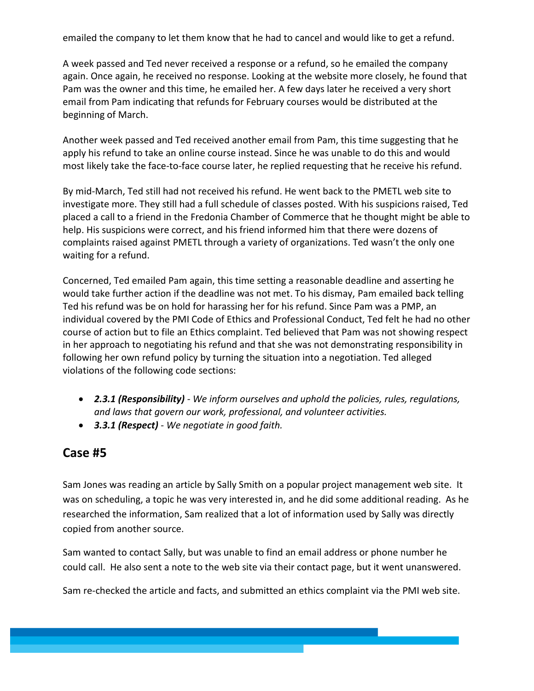emailed the company to let them know that he had to cancel and would like to get a refund.

A week passed and Ted never received a response or a refund, so he emailed the company again. Once again, he received no response. Looking at the website more closely, he found that Pam was the owner and this time, he emailed her. A few days later he received a very short email from Pam indicating that refunds for February courses would be distributed at the beginning of March.

Another week passed and Ted received another email from Pam, this time suggesting that he apply his refund to take an online course instead. Since he was unable to do this and would most likely take the face-to-face course later, he replied requesting that he receive his refund.

By mid-March, Ted still had not received his refund. He went back to the PMETL web site to investigate more. They still had a full schedule of classes posted. With his suspicions raised, Ted placed a call to a friend in the Fredonia Chamber of Commerce that he thought might be able to help. His suspicions were correct, and his friend informed him that there were dozens of complaints raised against PMETL through a variety of organizations. Ted wasn't the only one waiting for a refund.

Concerned, Ted emailed Pam again, this time setting a reasonable deadline and asserting he would take further action if the deadline was not met. To his dismay, Pam emailed back telling Ted his refund was be on hold for harassing her for his refund. Since Pam was a PMP, an individual covered by the PMI Code of Ethics and Professional Conduct, Ted felt he had no other course of action but to file an Ethics complaint. Ted believed that Pam was not showing respect in her approach to negotiating his refund and that she was not demonstrating responsibility in following her own refund policy by turning the situation into a negotiation. Ted alleged violations of the following code sections:

- *2.3.1 (Responsibility) - We inform ourselves and uphold the policies, rules, regulations, and laws that govern our work, professional, and volunteer activities.*
- *3.3.1 (Respect) - We negotiate in good faith.*

#### **Case #5**

Sam Jones was reading an article by Sally Smith on a popular project management web site. It was on scheduling, a topic he was very interested in, and he did some additional reading. As he researched the information, Sam realized that a lot of information used by Sally was directly copied from another source.

Sam wanted to contact Sally, but was unable to find an email address or phone number he could call. He also sent a note to the web site via their contact page, but it went unanswered.

Sam re-checked the article and facts, and submitted an ethics complaint via the PMI web site.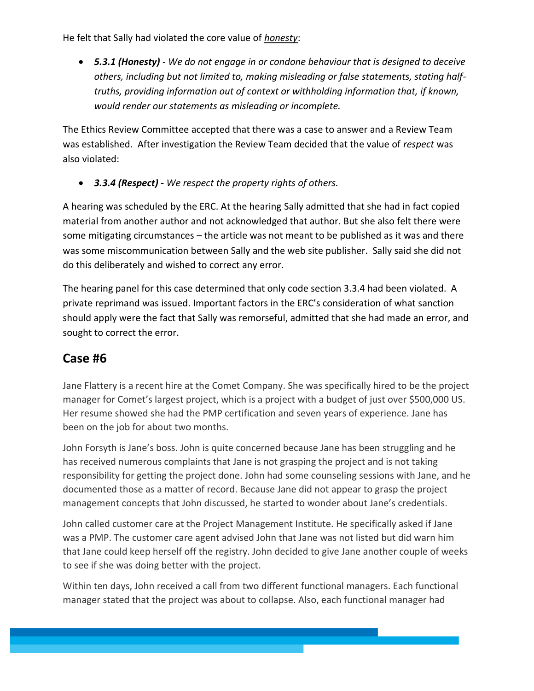He felt that Sally had violated the core value of *honesty*:

 *5.3.1 (Honesty) - We do not engage in or condone behaviour that is designed to deceive others, including but not limited to, making misleading or false statements, stating halftruths, providing information out of context or withholding information that, if known, would render our statements as misleading or incomplete.*

The Ethics Review Committee accepted that there was a case to answer and a Review Team was established. After investigation the Review Team decided that the value of *respect* was also violated:

*3.3.4 (Respect) - We respect the property rights of others.*

A hearing was scheduled by the ERC. At the hearing Sally admitted that she had in fact copied material from another author and not acknowledged that author. But she also felt there were some mitigating circumstances – the article was not meant to be published as it was and there was some miscommunication between Sally and the web site publisher. Sally said she did not do this deliberately and wished to correct any error.

The hearing panel for this case determined that only code section 3.3.4 had been violated. A private reprimand was issued. Important factors in the ERC's consideration of what sanction should apply were the fact that Sally was remorseful, admitted that she had made an error, and sought to correct the error.

#### **Case #6**

Jane Flattery is a recent hire at the Comet Company. She was specifically hired to be the project manager for Comet's largest project, which is a project with a budget of just over \$500,000 US. Her resume showed she had the PMP certification and seven years of experience. Jane has been on the job for about two months.

John Forsyth is Jane's boss. John is quite concerned because Jane has been struggling and he has received numerous complaints that Jane is not grasping the project and is not taking responsibility for getting the project done. John had some counseling sessions with Jane, and he documented those as a matter of record. Because Jane did not appear to grasp the project management concepts that John discussed, he started to wonder about Jane's credentials.

John called customer care at the Project Management Institute. He specifically asked if Jane was a PMP. The customer care agent advised John that Jane was not listed but did warn him that Jane could keep herself off the registry. John decided to give Jane another couple of weeks to see if she was doing better with the project.

Within ten days, John received a call from two different functional managers. Each functional manager stated that the project was about to collapse. Also, each functional manager had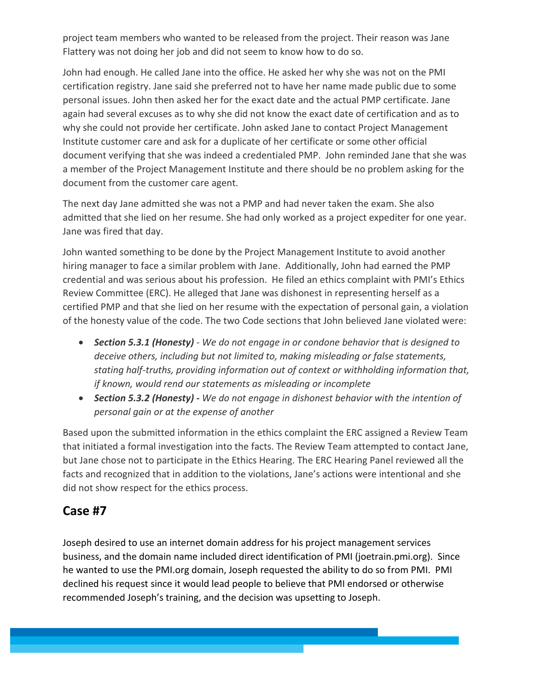project team members who wanted to be released from the project. Their reason was Jane Flattery was not doing her job and did not seem to know how to do so.

John had enough. He called Jane into the office. He asked her why she was not on the PMI certification registry. Jane said she preferred not to have her name made public due to some personal issues. John then asked her for the exact date and the actual PMP certificate. Jane again had several excuses as to why she did not know the exact date of certification and as to why she could not provide her certificate. John asked Jane to contact Project Management Institute customer care and ask for a duplicate of her certificate or some other official document verifying that she was indeed a credentialed PMP. John reminded Jane that she was a member of the Project Management Institute and there should be no problem asking for the document from the customer care agent.

The next day Jane admitted she was not a PMP and had never taken the exam. She also admitted that she lied on her resume. She had only worked as a project expediter for one year. Jane was fired that day.

John wanted something to be done by the Project Management Institute to avoid another hiring manager to face a similar problem with Jane. Additionally, John had earned the PMP credential and was serious about his profession. He filed an ethics complaint with PMI's Ethics Review Committee (ERC). He alleged that Jane was dishonest in representing herself as a certified PMP and that she lied on her resume with the expectation of personal gain, a violation of the honesty value of the code. The two Code sections that John believed Jane violated were:

- *Section 5.3.1 (Honesty) - We do not engage in or condone behavior that is designed to deceive others, including but not limited to, making misleading or false statements, stating half-truths, providing information out of context or withholding information that, if known, would rend our statements as misleading or incomplete*
- *Section 5.3.2 (Honesty) - We do not engage in dishonest behavior with the intention of personal gain or at the expense of another*

Based upon the submitted information in the ethics complaint the ERC assigned a Review Team that initiated a formal investigation into the facts. The Review Team attempted to contact Jane, but Jane chose not to participate in the Ethics Hearing. The ERC Hearing Panel reviewed all the facts and recognized that in addition to the violations, Jane's actions were intentional and she did not show respect for the ethics process.

#### **Case #7**

Joseph desired to use an internet domain address for his project management services business, and the domain name included direct identification of PMI (joetrain.pmi.org). Since he wanted to use the PMI.org domain, Joseph requested the ability to do so from PMI. PMI declined his request since it would lead people to believe that PMI endorsed or otherwise recommended Joseph's training, and the decision was upsetting to Joseph.